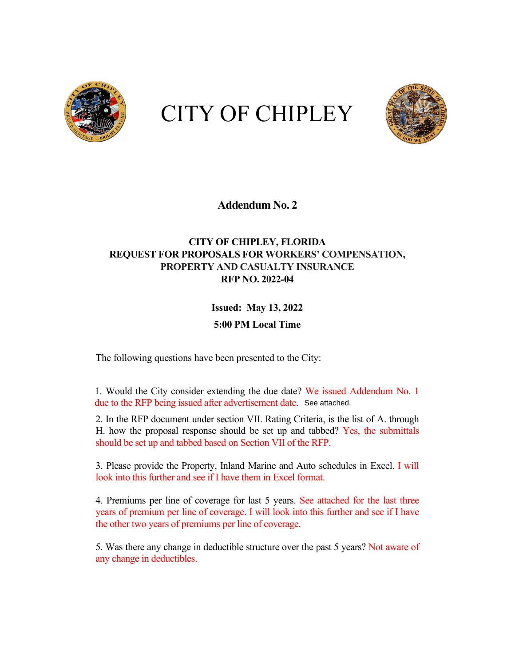

# CITY OF CHIPLEY



#### **Addendum No. 2**

#### **CITY OF CHIPLEY, FLORIDA REQUEST FOR PROPOSALS FOR WORKERS' COMPENSATION, PROPERTY AND CASUALTY INSURANCE RFP NO. 2022-04**

## **Issued: May 13, 2022 5:00 PM Local Time**

The following questions have been presented to the City:

1. Would the City consider extending the due date? We issued Addendum No. 1 due to the RFP being issued after advertisement date. See attached.

2. In the RFP document under section VII. Rating Criteria, is the list of A. through H. how the proposal response should be set up and tabbed? Yes, the submittals should be set up and tabbed based on Section VII of the RFP.

3. Please provide the Property, Inland Marine and Auto schedules in Excel. I will look into this further and see if I have them in Excel format.

4. Premiums per line of coverage for last 5 years. See attached for the last three years of premium per line of coverage. I will look into this further and see if I have the other two years of premiums per line of coverage.

5. Was there any change in deductible structure over the past 5 years? Not aware of any change in deductibles.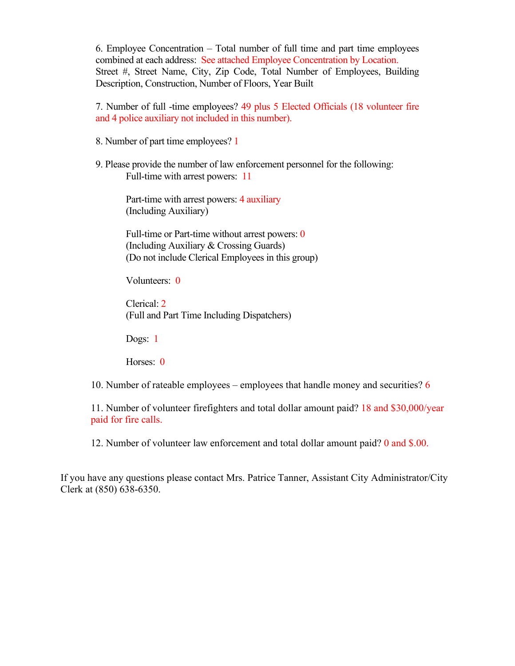6. Employee Concentration – Total number of full time and part time employees combined at each address: See attached Employee Concentration by Location. Street #, Street Name, City, Zip Code, Total Number of Employees, Building Description, Construction, Number of Floors, Year Built

7. Number of full -time employees? 49 plus 5 Elected Officials (18 volunteer fire and 4 police auxiliary not included in this number).

- 8. Number of part time employees? 1
- 9. Please provide the number of law enforcement personnel for the following: Full-time with arrest powers: 11

Part-time with arrest powers: 4 auxiliary (Including Auxiliary)

Full-time or Part-time without arrest powers: 0 (Including Auxiliary & Crossing Guards) (Do not include Clerical Employees in this group)

Volunteers: 0

Clerical: 2 (Full and Part Time Including Dispatchers)

Dogs: 1

Horses: 0

10. Number of rateable employees – employees that handle money and securities? 6

11. Number of volunteer firefighters and total dollar amount paid? 18 and \$30,000/year paid for fire calls.

12. Number of volunteer law enforcement and total dollar amount paid? 0 and \$.00.

If you have any questions please contact Mrs. Patrice Tanner, Assistant City Administrator/City Clerk at (850) 638-6350.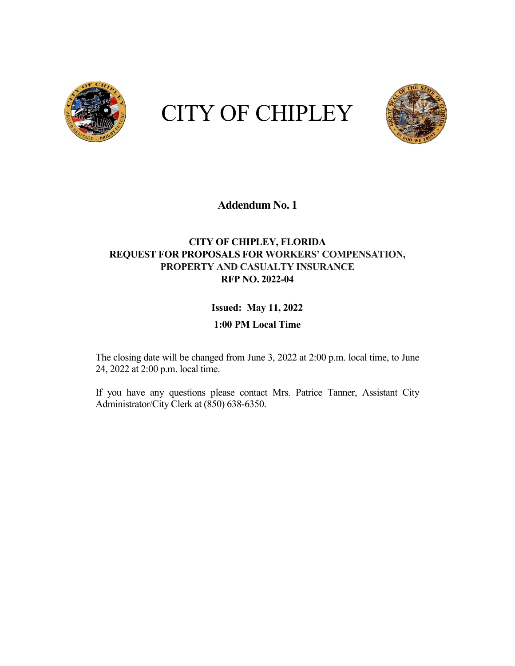

# CITY OF CHIPLEY



#### **Addendum No. 1**

#### **CITY OF CHIPLEY, FLORIDA REQUEST FOR PROPOSALS FOR WORKERS' COMPENSATION, PROPERTY AND CASUALTY INSURANCE RFP NO. 2022-04**

### **Issued: May 11, 2022**

#### **1:00 PM Local Time**

The closing date will be changed from June 3, 2022 at 2:00 p.m. local time, to June 24, 2022 at 2:00 p.m. local time.

If you have any questions please contact Mrs. Patrice Tanner, Assistant City Administrator/City Clerk at (850) 638-6350.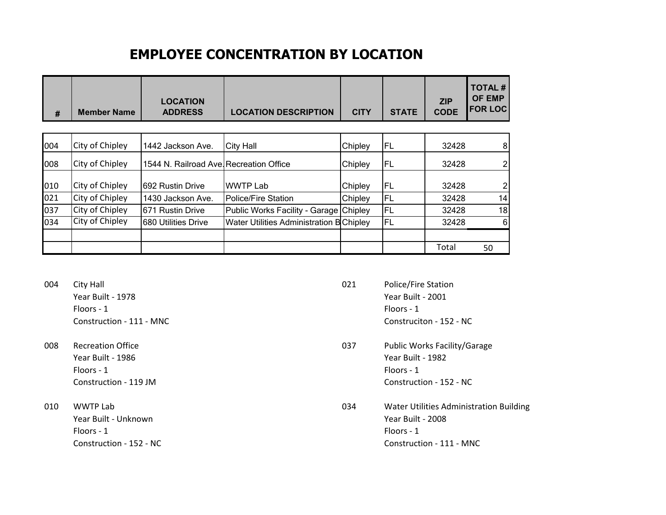## **EMPLOYEE CONCENTRATION BY LOCATION**

| #   | <b>Member Name</b>     | <b>LOCATION</b><br><b>ADDRESS</b>      | <b>LOCATION DESCRIPTION</b>              | <b>CITY</b> | <b>STATE</b> | <b>ZIP</b><br><b>CODE</b> | <b>TOTAL#</b><br><b>OF EMP</b><br><b>FOR LOC</b> |
|-----|------------------------|----------------------------------------|------------------------------------------|-------------|--------------|---------------------------|--------------------------------------------------|
|     |                        |                                        |                                          |             |              |                           |                                                  |
| 004 | City of Chipley        | 1442 Jackson Ave.                      | <b>City Hall</b>                         | Chipley     | <b>FL</b>    | 32428                     | 8                                                |
| 008 | City of Chipley        | 1544 N. Railroad Ave Recreation Office |                                          | Chipley     | FL.          | 32428                     | 2 <sub>l</sub>                                   |
| 010 | City of Chipley        | 692 Rustin Drive                       | <b>WWTP Lab</b>                          | Chipley     | FL           | 32428                     | $\overline{2}$                                   |
| 021 | City of Chipley        | 1430 Jackson Ave.                      | Police/Fire Station                      | Chipley     | FL           | 32428                     | 14                                               |
| 037 | City of Chipley        | 671 Rustin Drive                       | Public Works Facility - Garage Chipley   |             | FL           | 32428                     | 18                                               |
| 034 | <b>City of Chipley</b> | 680 Utilities Drive                    | Water Utilities Administration B Chipley |             | FL           | 32428                     | $6 \mid$                                         |
|     |                        |                                        |                                          |             |              |                           |                                                  |
|     |                        |                                        |                                          |             |              | Total                     | 50                                               |

- 004 City Hall **City Hall** 2004 City Hall 2004 City Hall 2004 21 Police/Fire Station Floors - 1 Floors - 1
- Floors 1 Floors 1
- Floors 1 Floors 1
- Year Built 1978 Year Built 2001 Construction - 111 - MNC Construciton - 152 - NC
- 008 Recreation Office **DECISION CONSTRUSTION** 037 Public Works Facility/Garage Year Built - 1986 Year Built - 1982 Construction - 119 JM Construction - 152 - NC
- 010 WWTP Lab 2010 WWTP Lab 2010 WWTP Lab 2010 Water Utilities Administration Building Year Built - Unknown Year Built - 2008 Construction - 152 - NC Construction - 111 - MNC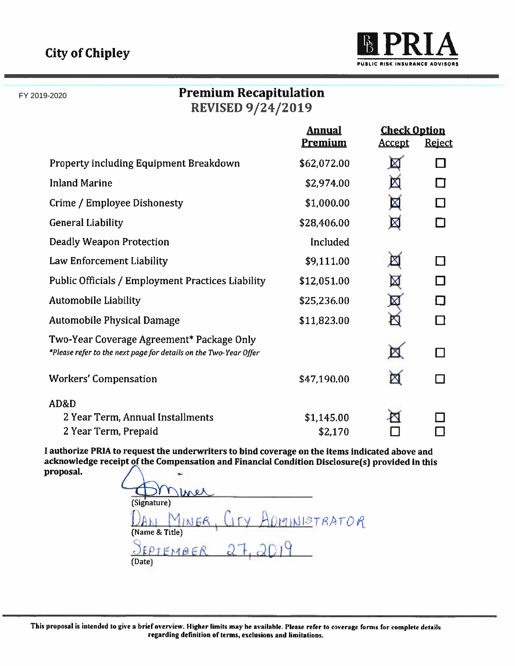FY 2019-2020



## **Premium Recapitulation REVISED 9/24/2019**

|                                                                                                               | <b>Annual</b><br><b>Check Option</b> |               |               |
|---------------------------------------------------------------------------------------------------------------|--------------------------------------|---------------|---------------|
|                                                                                                               | <b>Premium</b>                       | <u>Accept</u> | <b>Reject</b> |
| <b>Property including Equipment Breakdown</b>                                                                 | \$62,072.00                          | $\boxtimes$   |               |
| <b>Inland Marine</b>                                                                                          | \$2,974.00                           | 囡             |               |
| Crime / Employee Dishonesty                                                                                   | \$1,000.00                           | 図             |               |
| <b>General Liability</b>                                                                                      | \$28,406.00                          | $\boxtimes$   |               |
| <b>Deadly Weapon Protection</b>                                                                               | Included                             |               |               |
| Law Enforcement Liability                                                                                     | \$9,111.00                           | $\boxtimes$   |               |
| <b>Public Officials / Employment Practices Liability</b>                                                      | \$12,051.00                          | $\boxtimes$   |               |
| <b>Automobile Liability</b>                                                                                   | \$25,236.00                          | 囡             |               |
| <b>Automobile Physical Damage</b>                                                                             | \$11,823.00                          |               |               |
| Two-Year Coverage Agreement* Package Only<br>*Please refer to the next page for details on the Two-Year Offer |                                      | X             |               |
| <b>Workers' Compensation</b>                                                                                  | \$47,190.00                          | Х             |               |
| AD&D                                                                                                          |                                      |               |               |
| 2 Year Term, Annual Installments                                                                              | \$1,145.00                           |               |               |
| 2 Year Term, Prepaid                                                                                          | \$2,170                              |               |               |

I authorize PRIA to request the underwriters to bind coverage on the items indicated above and acknowledge receipt of the Compensation and Financial Condition Disclosure(s) provided in this proposal.

Ine (Signature) MINISTRATOR INER (Name & Title) E  $PTFMBER$ (Date)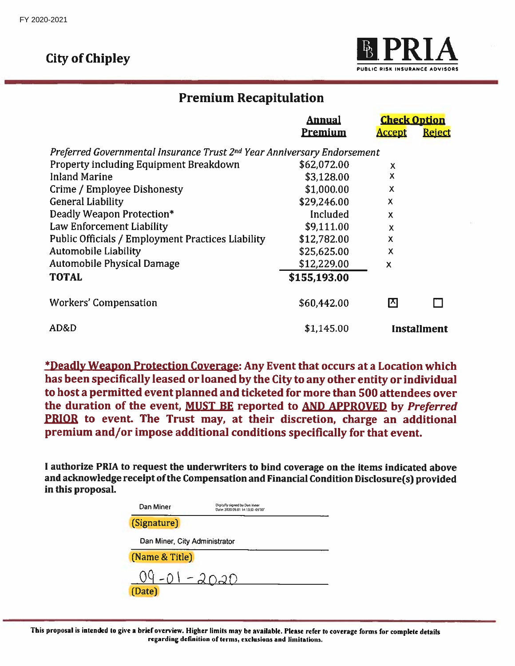## **City of Chipley**



## **Premium Recapitulation**

|                                                                                     | <b>Annual</b>  |                           | <b>Check Option</b> |  |
|-------------------------------------------------------------------------------------|----------------|---------------------------|---------------------|--|
|                                                                                     | <b>Premium</b> | <b>Accept</b>             | <b>Reject</b>       |  |
| Preferred Governmental Insurance Trust 2 <sup>nd</sup> Year Anniversary Endorsement |                |                           |                     |  |
| Property including Equipment Breakdown                                              | \$62,072.00    | X                         |                     |  |
| <b>Inland Marine</b>                                                                | \$3,128.00     | X                         |                     |  |
| Crime / Employee Dishonesty                                                         | \$1,000.00     | X                         |                     |  |
| <b>General Liability</b>                                                            | \$29,246.00    | X                         |                     |  |
| Deadly Weapon Protection*                                                           | Included       | $\boldsymbol{\mathsf{x}}$ |                     |  |
| Law Enforcement Liability                                                           | \$9,111.00     | X                         |                     |  |
| <b>Public Officials / Employment Practices Liability</b>                            | \$12,782.00    | X                         |                     |  |
| <b>Automobile Liability</b>                                                         | \$25,625.00    | X                         |                     |  |
| <b>Automobile Physical Damage</b>                                                   | \$12,229.00    | $\boldsymbol{\mathsf{x}}$ |                     |  |
| <b>TOTAL</b>                                                                        | \$155,193.00   |                           |                     |  |
| <b>Workers' Compensation</b>                                                        | \$60,442.00    | Iд                        |                     |  |
| AD&D                                                                                | \$1,145.00     |                           | <b>Installment</b>  |  |

\*Deadly Weapon Protection Coverage: Any Event that occurs at a Location which has been specifically leased or loaned by the City to any other entity or individual to host a permitted event planned and ticketed for more than 500 attendees over the duration of the event, MUST BE reported to AND APPROVED by Preferred PRIOR to event. The Trust may, at their discretion, charge an additional premium and/or impose additional conditions specifically for that event.

I authorize PRIA to request the underwriters to bind coverage on the items indicated above and acknowledge receipt of the Compensation and Financial Condition Disclosure(s) provided in this proposal.

| Dan Miner                     | Digitally signed by Dan Miner<br>Date: 2020.09.01 14:13:50 -05'00' |
|-------------------------------|--------------------------------------------------------------------|
| (Signature)                   |                                                                    |
| Dan Miner, City Administrator |                                                                    |
| (Name & Title)                |                                                                    |
| 94-01-2020<br>(Date)          |                                                                    |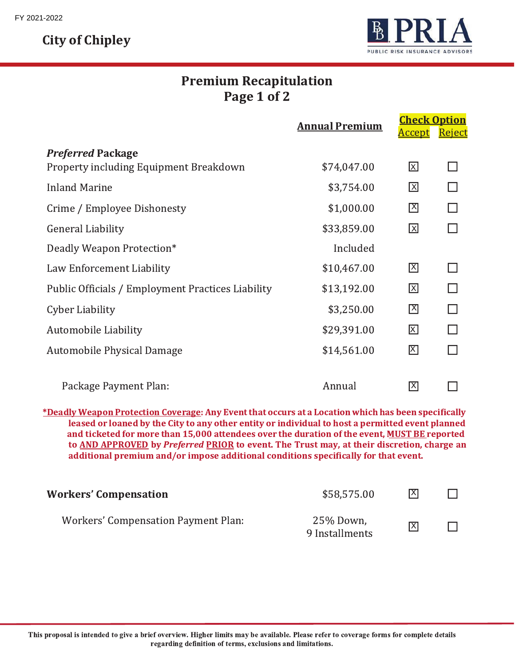**City of Chipley** 



## **Premium Recapitulation** Page 1 of 2

|                                                   | <b>Annual Premium</b> | <b>Check Option</b> |               |
|---------------------------------------------------|-----------------------|---------------------|---------------|
|                                                   |                       | <u>Accept</u>       | <u>Reject</u> |
| <b>Preferred Package</b>                          |                       |                     |               |
| Property including Equipment Breakdown            | \$74,047.00           | 区                   |               |
| <b>Inland Marine</b>                              | \$3,754.00            | 図                   |               |
| Crime / Employee Dishonesty                       | \$1,000.00            | 龱                   |               |
| <b>General Liability</b>                          | \$33,859.00           | 図                   |               |
| Deadly Weapon Protection*                         | Included              |                     |               |
| Law Enforcement Liability                         | \$10,467.00           | 冈                   |               |
| Public Officials / Employment Practices Liability | \$13,192.00           | 図                   |               |
| <b>Cyber Liability</b>                            | \$3,250.00            | 龱                   |               |
| Automobile Liability                              | \$29,391.00           | 図                   |               |
| Automobile Physical Damage                        | \$14,561.00           | 龱                   |               |
| Package Payment Plan:                             | Annual                | 冈                   |               |

\*Deadly Weapon Protection Coverage: Any Event that occurs at a Location which has been specifically leased or loaned by the City to any other entity or individual to host a permitted event planned and ticketed for more than 15,000 attendees over the duration of the event, MUST BE reported to AND APPROVED by Preferred PRIOR to event. The Trust may, at their discretion, charge an additional premium and/or impose additional conditions specifically for that event.

| <b>Workers' Compensation</b>               | \$58,575.00                 | X              |  |
|--------------------------------------------|-----------------------------|----------------|--|
| <b>Workers' Compensation Payment Plan:</b> | 25% Down,<br>9 Installments | $ \mathsf{X} $ |  |